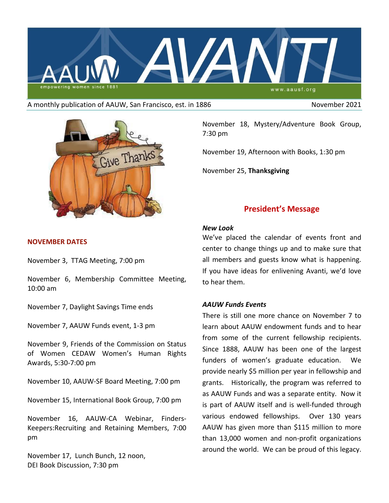

#### A monthly publication of AAUW, San Francisco, est. in 1886 November 2021



### **NOVEMBER DATES**

November 3, TTAG Meeting, 7:00 pm

November 6, Membership Committee Meeting, 10:00 am

November 7, Daylight Savings Time ends

November 7, AAUW Funds event, 1-3 pm

November 9, Friends of the Commission on Status of Women CEDAW Women's Human Rights Awards, 5:30-7:00 pm

November 10, AAUW-SF Board Meeting, 7:00 pm

November 15, International Book Group, 7:00 pm

November 16, AAUW-CA Webinar, Finders-Keepers:Recruiting and Retaining Members, 7:00 pm

November 17, Lunch Bunch, 12 noon, DEI Book Discussion, 7:30 pm

November 18, Mystery/Adventure Book Group, 7:30 pm

November 19, Afternoon with Books, 1:30 pm

November 25, **Thanksgiving**

# **President's Message**

#### *New Look*

We've placed the calendar of events front and center to change things up and to make sure that all members and guests know what is happening. If you have ideas for enlivening Avanti, we'd love to hear them.

### *AAUW Funds Events*

There is still one more chance on November 7 to learn about AAUW endowment funds and to hear from some of the current fellowship recipients. Since 1888, AAUW has been one of the largest funders of women's graduate education. We provide nearly \$5 million per year in fellowship and grants. Historically, the program was referred to as AAUW Funds and was a separate entity. Now it is part of AAUW itself and is well-funded through various endowed fellowships. Over 130 years AAUW has given more than \$115 million to more than 13,000 women and non-profit organizations around the world. We can be proud of this legacy.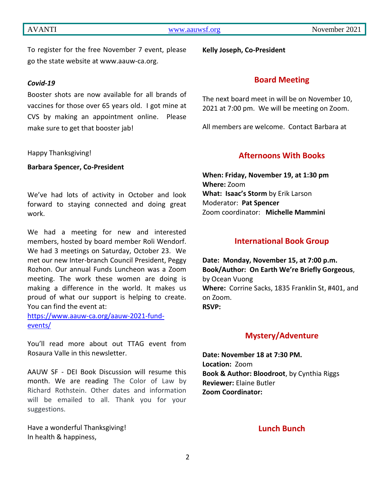To register for the free November 7 event, please go the state website at www.aauw-ca.org.

## *Covid-19*

Booster shots are now available for all brands of vaccines for those over 65 years old. I got mine at CVS by making an appointment online. Please make sure to get that booster jab!

Happy Thanksgiving!

**Barbara Spencer, Co-President**

We've had lots of activity in October and look forward to staying connected and doing great work.

We had a meeting for new and interested members, hosted by board member Roli Wendorf. We had 3 meetings on Saturday, October 23. We met our new Inter-branch Council President, Peggy Rozhon. Our annual Funds Luncheon was a Zoom meeting. The work these women are doing is making a difference in the world. It makes us proud of what our support is helping to create. You can find the event at:

[https://www.aauw-ca.org/aauw-2021-fund](https://www.aauw-ca.org/aauw-2021-fund-events/)[events/](https://www.aauw-ca.org/aauw-2021-fund-events/)

You'll read more about out TTAG event from Rosaura Valle in this newsletter.

AAUW SF - DEI Book Discussion will resume this month. We are reading The Color of Law by Richard Rothstein. Other dates and information will be emailed to all. Thank you for your suggestions.

Have a wonderful Thanksgiving! In health & happiness,

**Kelly Joseph, Co-President**

## **Board Meeting**

The next board meet in will be on November 10, 2021 at 7:00 pm. We will be meeting on Zoom.

All members are welcome. Contact Barbara at

## **Afternoons With Books**

**When: Friday, November 19, at 1:30 pm Where:** Zoom **What: Isaac's Storm** by Erik Larson Moderator: **Pat Spencer** Zoom coordinator: **Michelle Mammini**

### **International Book Group**

**Date: Monday, November 15, at 7:00 p.m. Book/Author: On Earth We're Briefly Gorgeous**, by Ocean Vuong **Where:** Corrine Sacks, 1835 Franklin St, #401, and on Zoom. **RSVP:** 

## **Mystery/Adventure**

**Date: November 18 at 7:30 PM. Location:** Zoom **Book & Author: Bloodroot**, by Cynthia Riggs **Reviewer:** Elaine Butler **Zoom Coordinator:** 

## **Lunch Bunch**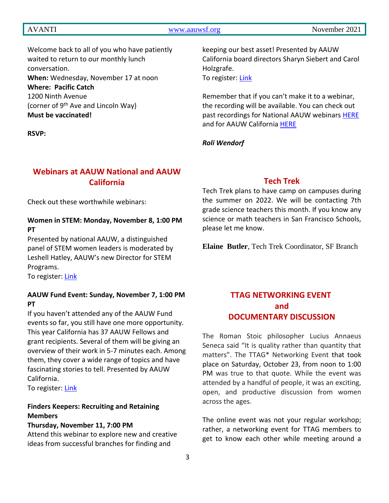## AVANTI [www.aauwsf.org](http://www.aauwsf.org/) November 2021

Welcome back to all of you who have patiently waited to return to our monthly lunch conversation. **When:** Wednesday, November 17 at noon **Where: Pacific Catch** 1200 Ninth Avenue (corner of 9<sup>th</sup> Ave and Lincoln Way) **Must be vaccinated!**

**RSVP:** 

# **Webinars at AAUW National and AAUW California**

Check out these worthwhile webinars:

## **Women in STEM: Monday, November 8, 1:00 PM PT**

Presented by national AAUW, a distinguished panel of STEM women leaders is moderated by Leshell Hatley, AAUW's new Director for STEM Programs.

To register: [Link](https://us02web.zoom.us/webinar/register/WN_IcE9_O57QNmxdTsE8Vwkuw?emci=fbcaf433-2238-ec11-9820-c896653b26c8&emdi=69af1e27-2338-ec11-9820-c896653b26c8&ceid=914222)

## **AAUW Fund Event: Sunday, November 7, 1:00 PM PT**

If you haven't attended any of the AAUW Fund events so far, you still have one more opportunity. This year California has 37 AAUW Fellows and grant recipients. Several of them will be giving an overview of their work in 5-7 minutes each. Among them, they cover a wide range of topics and have fascinating stories to tell. Presented by AAUW California.

To register: [Link](https://us02web.zoom.us/webinar/register/WN_SRjho3n4QmyTZ_Ds_nR28w)

## **Finders Keepers: Recruiting and Retaining Members**

#### **Thursday, November 11, 7:00 PM**

Attend this webinar to explore new and creative ideas from successful branches for finding and

keeping our best asset! Presented by AAUW California board directors Sharyn Siebert and Carol Holzgrafe.

To register: [Link](https://us02web.zoom.us/webinar/register/WN_qha_UY5SRQK7N2Jb3aYNBQ)

Remember that if you can't make it to a webinar, the recording will be available. You can check out past recordings for National AAUW webinars [HERE](https://www.aauw.org/resources/programs/webinars/) and for AAUW California [HERE](https://www.aauw-ca.org/category/2021-2022-webinars/)

#### *Roli Wendorf*

## **Tech Trek**

Tech Trek plans to have camp on campuses during the summer on 2022. We will be contacting 7th grade science teachers this month. If you know any science or math teachers in San Francisco Schools, please let me know.

**Elaine Butler**, Tech Trek Coordinator, SF Branch

# **TTAG NETWORKING EVENT and DOCUMENTARY DISCUSSION**

The Roman Stoic philosopher Lucius Annaeus Seneca said "It is quality rather than quantity that matters". The TTAG\* Networking Event that took place on Saturday, October 23, from noon to 1:00 PM was true to that quote. While the event was attended by a handful of people, it was an exciting, open, and productive discussion from women across the ages.

The online event was not your regular workshop; rather, a networking event for TTAG members to get to know each other while meeting around a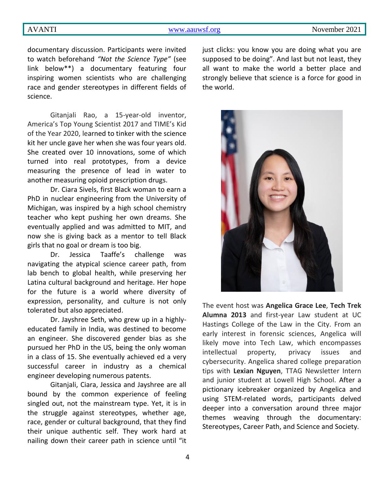documentary discussion. Participants were invited to watch beforehand *"Not the Science Type"* (see link below\*\*) a documentary featuring four inspiring women scientists who are challenging race and gender stereotypes in different fields of science.

Gitanjali Rao, a 15-year-old inventor, America's Top Young Scientist 2017 and TIME's Kid of the Year 2020, learned to tinker with the science kit her uncle gave her when she was four years old. She created over 10 innovations, some of which turned into real prototypes, from a device measuring the presence of lead in water to another measuring opioid prescription drugs.

Dr. Ciara Sivels, first Black woman to earn a PhD in nuclear engineering from the University of Michigan, was inspired by a high school chemistry teacher who kept pushing her own dreams. She eventually applied and was admitted to MIT, and now she is giving back as a mentor to tell Black girls that no goal or dream is too big.

Dr. Jessica Taaffe's challenge was navigating the atypical science career path, from lab bench to global health, while preserving her Latina cultural background and heritage. Her hope for the future is a world where diversity of expression, personality, and culture is not only tolerated but also appreciated.

Dr. Jayshree Seth, who grew up in a highlyeducated family in India, was destined to become an engineer. She discovered gender bias as she pursued her PhD in the US, being the only woman in a class of 15. She eventually achieved ed a very successful career in industry as a chemical engineer developing numerous patents.

Gitanjali, Ciara, Jessica and Jayshree are all bound by the common experience of feeling singled out, not the mainstream type. Yet, it is in the struggle against stereotypes, whether age, race, gender or cultural background, that they find their unique authentic self. They work hard at nailing down their career path in science until "it just clicks: you know you are doing what you are supposed to be doing". And last but not least, they all want to make the world a better place and strongly believe that science is a force for good in the world.



The event host was **Angelica Grace Lee**, **Tech Trek Alumna 2013** and first-year Law student at UC Hastings College of the Law in the City. From an early interest in forensic sciences, Angelica will likely move into Tech Law, which encompasses intellectual property, privacy issues and cybersecurity. Angelica shared college preparation tips with **Lexian Nguyen**, TTAG Newsletter Intern and junior student at Lowell High School. After a pictionary icebreaker organized by Angelica and using STEM-related words, participants delved deeper into a conversation around three major themes weaving through the documentary: Stereotypes, Career Path, and Science and Society.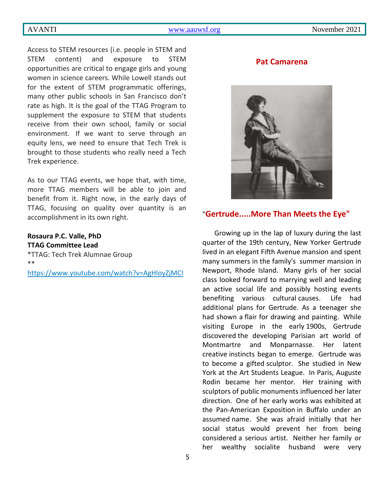#### AVANTI [www.aauwsf.org](http://www.aauwsf.org/) November 2021

Access to STEM resources (i.e. people in STEM and STEM content) and exposure to STEM opportunities are critical to engage girls and young women in science careers. While Lowell stands out for the extent of STEM programmatic offerings, many other public schools in San Francisco don't rate as high. It is the goal of the TTAG Program to supplement the exposure to STEM that students receive from their own school, family or social environment. If we want to serve through an equity lens, we need to ensure that Tech Trek is brought to those students who really need a Tech Trek experience.

As to our TTAG events, we hope that, with time, more TTAG members will be able to join and benefit from it. Right now, in the early days of TTAG, focusing on quality over quantity is an accomplishment in its own right.

## **Rosaura P.C. Valle, PhD TTAG Committee Lead**

\*TTAG: Tech Trek Alumnae Group \*\*

<https://www.youtube.com/watch?v=AgHIoyZjMCI>

#### **Pat Camarena**



## "**Gertrude.....More Than Meets the Eye"**

Growing up in the lap of luxury during the last quarter of the 19th century, New Yorker Gertrude lived in an elegant Fifth Avenue mansion and spent many summers in the family's summer mansion in Newport, Rhode Island. Many girls of her social class looked forward to marrying well and leading an active social life and possibly hosting events benefiting various cultural causes. Life had additional plans for Gertrude. As a teenager she had shown a flair for drawing and painting. While visiting Europe in the early 1900s, Gertrude discovered the developing Parisian art world of Montmartre and Monparnasse. Her latent creative instincts began to emerge. Gertrude was to become a gifted sculptor. She studied in New York at the Art Students League. In Paris, Auguste Rodin became her mentor. Her training with sculptors of public monuments influenced her later direction. One of her early works was exhibited at the Pan-American Exposition in Buffalo under an assumed name. She was afraid initially that her social status would prevent her from being considered a serious artist. Neither her family or her wealthy socialite husband were very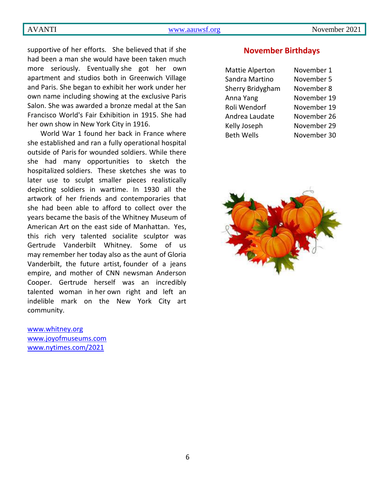supportive of her efforts. She believed that if she had been a man she would have been taken much more seriously. Eventually she got her own apartment and studios both in Greenwich Village and Paris. She began to exhibit her work under her own name including showing at the exclusive Paris Salon. She was awarded a bronze medal at the San Francisco World's Fair Exhibition in 1915. She had her own show in New York City in 1916.

World War 1 found her back in France where she established and ran a fully operational hospital outside of Paris for wounded soldiers. While there she had many opportunities to sketch the hospitalized soldiers. These sketches she was to later use to sculpt smaller pieces realistically depicting soldiers in wartime. In 1930 all the artwork of her friends and contemporaries that she had been able to afford to collect over the years became the basis of the Whitney Museum of American Art on the east side of Manhattan. Yes, this rich very talented socialite sculptor was Gertrude Vanderbilt Whitney. Some of us may remember her today also as the aunt of Gloria Vanderbilt, the future artist, founder of a jeans empire, and mother of CNN newsman Anderson Cooper. Gertrude herself was an incredibly talented woman in her own right and left an indelible mark on the New York City art community.

[www.whitney.org](http://www.whitney.org/) [www.joyofmuseums.com](http://www.joyofmuseums.com/) [www.nytimes.com/2021](http://www.nytimes.com/2021)

### **November Birthdays**

| Mattie Alperton   | November 1  |
|-------------------|-------------|
| Sandra Martino    | November 5  |
| Sherry Bridygham  | November 8  |
| Anna Yang         | November 19 |
| Roli Wendorf      | November 19 |
| Andrea Laudate    | November 26 |
| Kelly Joseph      | November 29 |
| <b>Beth Wells</b> | November 30 |

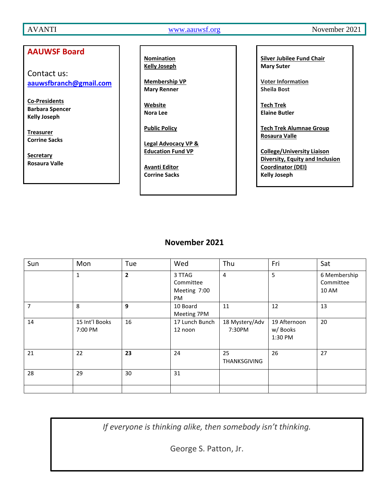## **AAUWSF Board**

Contact us: **[aauwsfbranch@gmail.com](file:///C:/Users/Corrine/Documents/Avanti/aauwsfbranch@gmail.com)**

**Co-Presidents Barbara Spencer Kelly Joseph**

**Treasurer Corrine Sacks**

**Secretary Rosaura Valle** **Nomination Kelly Joseph**

**Membership VP Mary Renner**

**Website Nora Lee**

**Public Policy**

**Legal Advocacy VP & Education Fund VP**

**Avanti Editor Corrine Sacks** **Silver Jubilee Fund Chair Mary Suter**

**Voter Information Sheila Bost**

**Tech Trek Elaine Butler**

**Tech Trek Alumnae Group Rosaura Valle**

**College/University Liaison Diversity, Equity and Inclusion Coordinator (DEI) Kelly Joseph**

# **November 2021**

| Sun | Mon                       | Tue          | Wed                                       | Thu                      | Fri                                | Sat                                |
|-----|---------------------------|--------------|-------------------------------------------|--------------------------|------------------------------------|------------------------------------|
|     | $\mathbf{1}$              | $\mathbf{2}$ | 3 TTAG<br>Committee<br>Meeting 7:00<br>PM | 4                        | 5                                  | 6 Membership<br>Committee<br>10 AM |
| 7   | 8                         | 9            | 10 Board<br>Meeting 7PM                   | 11                       | 12                                 | 13                                 |
| 14  | 15 Int'l Books<br>7:00 PM | 16           | 17 Lunch Bunch<br>12 noon                 | 18 Mystery/Adv<br>7:30PM | 19 Afternoon<br>w/Books<br>1:30 PM | 20                                 |
| 21  | 22                        | 23           | 24                                        | 25<br>THANKSGIVING       | 26                                 | 27                                 |
| 28  | 29                        | 30           | 31                                        |                          |                                    |                                    |

*If everyone is thinking alike, then somebody isn't thinking.*

George S. Patton, Jr.